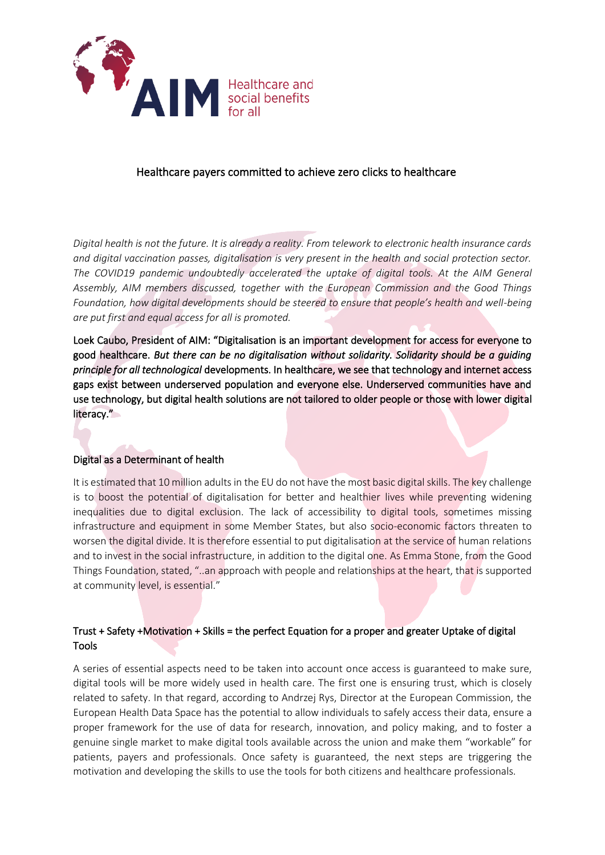

## Healthcare payers committed to achieve zero clicks to healthcare

*Digital health is not the future. It is already a reality. From telework to electronic health insurance cards and digital vaccination passes, digitalisation is very present in the health and social protection sector.*  The COVID19 pandemic undoubtedly accelerated the uptake of digital tools. At the AIM General *Assembly, AIM members discussed, together with the European Commission and the Good Things Foundation, how digital developments should be steered to ensure that people's health and well-being are put first and equal access for all is promoted.* 

Loek Caubo, President of AIM: "Digitalisation is an important development for access for everyone to good healthcare. *But there can be no digitalisation without solidarity. Solidarity should be a guiding principle for all technological* developments. In healthcare, we see that technology and internet access gaps exist between underserved population and everyone else. Underserved communities have and use technology, but digital health solutions are not tailored to older people or those with lower digital literacy."

## Digital as a Determinant of health

It is estimated that 10 million adults in the EU do not have the most basic digital skills. The key challenge is to boost the potential of digitalisation for better and healthier lives while preventing widening inequalities due to digital exclusion. The lack of accessibility to digital tools, sometimes missing infrastructure and equipment in some Member States, but also socio-economic factors threaten to worsen the digital divide. It is therefore essential to put digitalisation at the service of human relations and to invest in the social infrastructure, in addition to the digital one. As Emma Stone, from the Good Things Foundation, stated, "..an approach with people and relationships at the heart, that is supported at community level, is essential."

## Trust + Safety +Motivation + Skills = the perfect Equation for a proper and greater Uptake of digital Tools

A series of essential aspects need to be taken into account once access is guaranteed to make sure, digital tools will be more widely used in health care. The first one is ensuring trust, which is closely related to safety. In that regard, according to Andrzej Rys, Director at the European Commission, the European Health Data Space has the potential to allow individuals to safely access their data, ensure a proper framework for the use of data for research, innovation, and policy making, and to foster a genuine single market to make digital tools available across the union and make them "workable" for patients, payers and professionals. Once safety is guaranteed, the next steps are triggering the motivation and developing the skills to use the tools for both citizens and healthcare professionals.